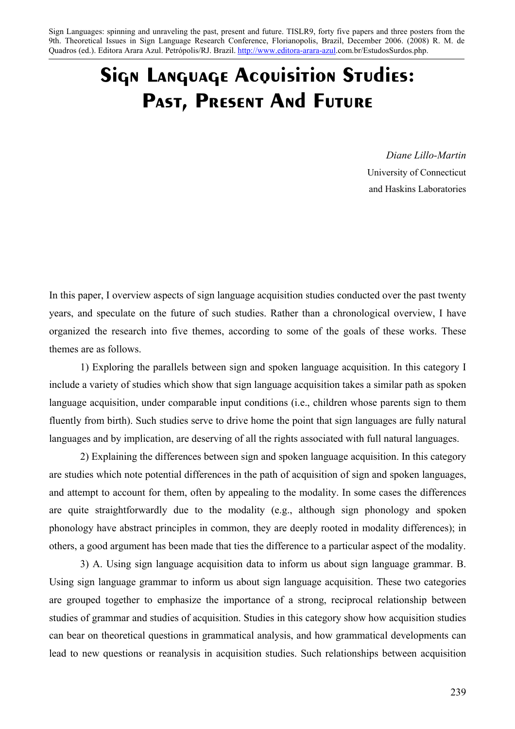Sign Languages: spinning and unraveling the past, present and future. TISLR9, forty five papers and three posters from the 9th. Theoretical Issues in Sign Language Research Conference, Florianopolis, Brazil, December 2006. (2008) R. M. de Quadros (ed.). Editora Arara Azul. Petrópolis/RJ. Brazil. http://www.editora-arara-azul.com.br/EstudosSurdos.php.

# **Sign Language Acquisition Studies: Past, Present And Future**

*Diane Lillo-Martin*  University of Connecticut and Haskins Laboratories

In this paper, I overview aspects of sign language acquisition studies conducted over the past twenty years, and speculate on the future of such studies. Rather than a chronological overview, I have organized the research into five themes, according to some of the goals of these works. These themes are as follows.

 1) Exploring the parallels between sign and spoken language acquisition. In this category I include a variety of studies which show that sign language acquisition takes a similar path as spoken language acquisition, under comparable input conditions (i.e., children whose parents sign to them fluently from birth). Such studies serve to drive home the point that sign languages are fully natural languages and by implication, are deserving of all the rights associated with full natural languages.

 2) Explaining the differences between sign and spoken language acquisition. In this category are studies which note potential differences in the path of acquisition of sign and spoken languages, and attempt to account for them, often by appealing to the modality. In some cases the differences are quite straightforwardly due to the modality (e.g., although sign phonology and spoken phonology have abstract principles in common, they are deeply rooted in modality differences); in others, a good argument has been made that ties the difference to a particular aspect of the modality.

 3) A. Using sign language acquisition data to inform us about sign language grammar. B. Using sign language grammar to inform us about sign language acquisition. These two categories are grouped together to emphasize the importance of a strong, reciprocal relationship between studies of grammar and studies of acquisition. Studies in this category show how acquisition studies can bear on theoretical questions in grammatical analysis, and how grammatical developments can lead to new questions or reanalysis in acquisition studies. Such relationships between acquisition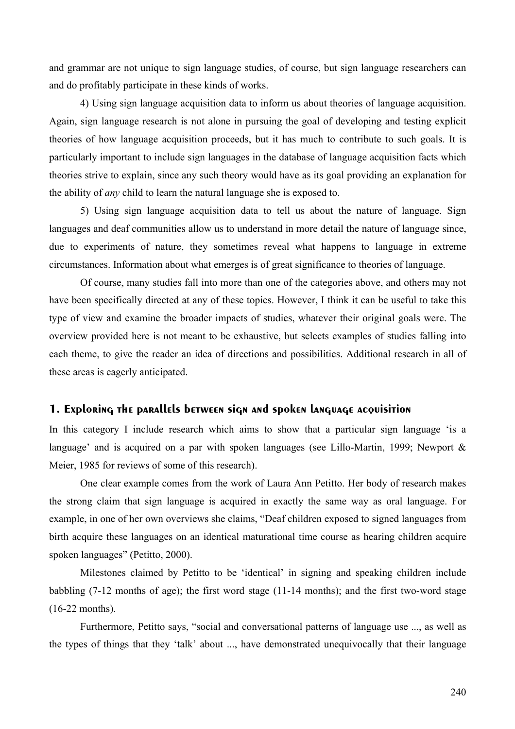and grammar are not unique to sign language studies, of course, but sign language researchers can and do profitably participate in these kinds of works.

 4) Using sign language acquisition data to inform us about theories of language acquisition. Again, sign language research is not alone in pursuing the goal of developing and testing explicit theories of how language acquisition proceeds, but it has much to contribute to such goals. It is particularly important to include sign languages in the database of language acquisition facts which theories strive to explain, since any such theory would have as its goal providing an explanation for the ability of *any* child to learn the natural language she is exposed to.

 5) Using sign language acquisition data to tell us about the nature of language. Sign languages and deaf communities allow us to understand in more detail the nature of language since, due to experiments of nature, they sometimes reveal what happens to language in extreme circumstances. Information about what emerges is of great significance to theories of language.

 Of course, many studies fall into more than one of the categories above, and others may not have been specifically directed at any of these topics. However, I think it can be useful to take this type of view and examine the broader impacts of studies, whatever their original goals were. The overview provided here is not meant to be exhaustive, but selects examples of studies falling into each theme, to give the reader an idea of directions and possibilities. Additional research in all of these areas is eagerly anticipated.

#### **1. Exploring the parallels between sign and spoken language acquisition**

In this category I include research which aims to show that a particular sign language 'is a language' and is acquired on a par with spoken languages (see Lillo-Martin, 1999; Newport & Meier, 1985 for reviews of some of this research).

 One clear example comes from the work of Laura Ann Petitto. Her body of research makes the strong claim that sign language is acquired in exactly the same way as oral language. For example, in one of her own overviews she claims, "Deaf children exposed to signed languages from birth acquire these languages on an identical maturational time course as hearing children acquire spoken languages" (Petitto, 2000).

 Milestones claimed by Petitto to be 'identical' in signing and speaking children include babbling (7-12 months of age); the first word stage (11-14 months); and the first two-word stage (16-22 months).

 Furthermore, Petitto says, "social and conversational patterns of language use ..., as well as the types of things that they 'talk' about ..., have demonstrated unequivocally that their language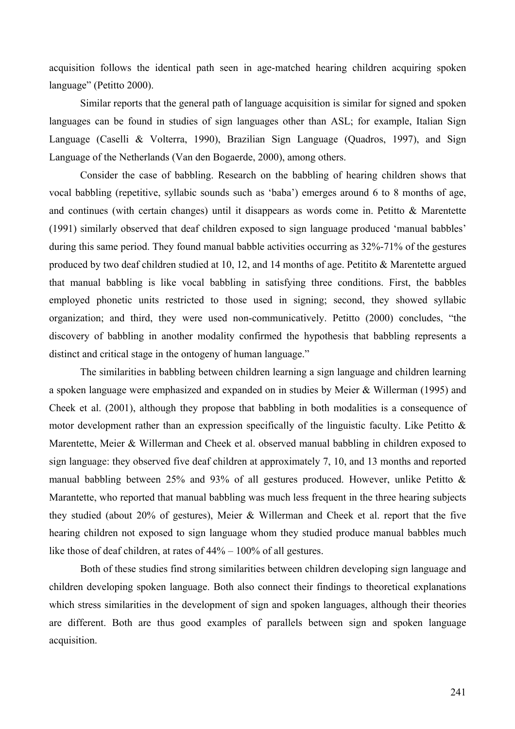acquisition follows the identical path seen in age-matched hearing children acquiring spoken language" (Petitto 2000).

 Similar reports that the general path of language acquisition is similar for signed and spoken languages can be found in studies of sign languages other than ASL; for example, Italian Sign Language (Caselli & Volterra, 1990), Brazilian Sign Language (Quadros, 1997), and Sign Language of the Netherlands (Van den Bogaerde, 2000), among others.

 Consider the case of babbling. Research on the babbling of hearing children shows that vocal babbling (repetitive, syllabic sounds such as 'baba') emerges around 6 to 8 months of age, and continues (with certain changes) until it disappears as words come in. Petitto & Marentette (1991) similarly observed that deaf children exposed to sign language produced 'manual babbles' during this same period. They found manual babble activities occurring as 32%-71% of the gestures produced by two deaf children studied at 10, 12, and 14 months of age. Petitito & Marentette argued that manual babbling is like vocal babbling in satisfying three conditions. First, the babbles employed phonetic units restricted to those used in signing; second, they showed syllabic organization; and third, they were used non-communicatively. Petitto (2000) concludes, "the discovery of babbling in another modality confirmed the hypothesis that babbling represents a distinct and critical stage in the ontogeny of human language."

 The similarities in babbling between children learning a sign language and children learning a spoken language were emphasized and expanded on in studies by Meier & Willerman (1995) and Cheek et al. (2001), although they propose that babbling in both modalities is a consequence of motor development rather than an expression specifically of the linguistic faculty. Like Petitto  $\&$ Marentette, Meier & Willerman and Cheek et al. observed manual babbling in children exposed to sign language: they observed five deaf children at approximately 7, 10, and 13 months and reported manual babbling between 25% and 93% of all gestures produced. However, unlike Petitto & Marantette, who reported that manual babbling was much less frequent in the three hearing subjects they studied (about 20% of gestures), Meier & Willerman and Cheek et al. report that the five hearing children not exposed to sign language whom they studied produce manual babbles much like those of deaf children, at rates of  $44\% - 100\%$  of all gestures.

 Both of these studies find strong similarities between children developing sign language and children developing spoken language. Both also connect their findings to theoretical explanations which stress similarities in the development of sign and spoken languages, although their theories are different. Both are thus good examples of parallels between sign and spoken language acquisition.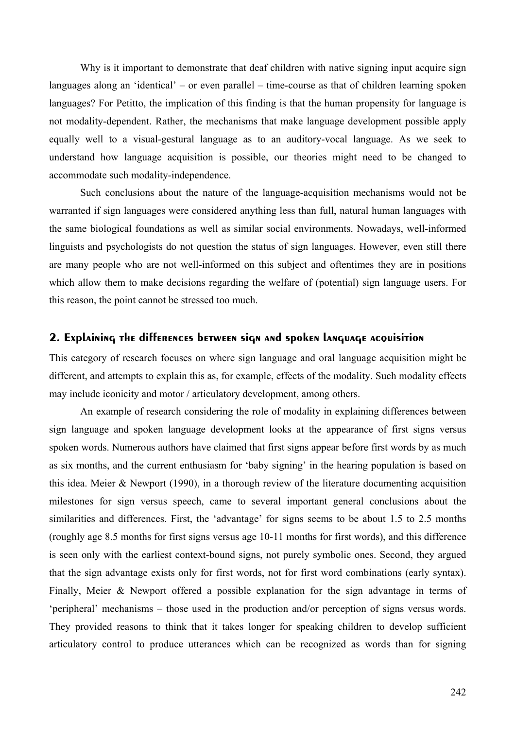Why is it important to demonstrate that deaf children with native signing input acquire sign languages along an 'identical' – or even parallel – time-course as that of children learning spoken languages? For Petitto, the implication of this finding is that the human propensity for language is not modality-dependent. Rather, the mechanisms that make language development possible apply equally well to a visual-gestural language as to an auditory-vocal language. As we seek to understand how language acquisition is possible, our theories might need to be changed to accommodate such modality-independence.

 Such conclusions about the nature of the language-acquisition mechanisms would not be warranted if sign languages were considered anything less than full, natural human languages with the same biological foundations as well as similar social environments. Nowadays, well-informed linguists and psychologists do not question the status of sign languages. However, even still there are many people who are not well-informed on this subject and oftentimes they are in positions which allow them to make decisions regarding the welfare of (potential) sign language users. For this reason, the point cannot be stressed too much.

### **2. Explaining the differences between sign and spoken language acquisition**

This category of research focuses on where sign language and oral language acquisition might be different, and attempts to explain this as, for example, effects of the modality. Such modality effects may include iconicity and motor / articulatory development, among others.

 An example of research considering the role of modality in explaining differences between sign language and spoken language development looks at the appearance of first signs versus spoken words. Numerous authors have claimed that first signs appear before first words by as much as six months, and the current enthusiasm for 'baby signing' in the hearing population is based on this idea. Meier & Newport (1990), in a thorough review of the literature documenting acquisition milestones for sign versus speech, came to several important general conclusions about the similarities and differences. First, the 'advantage' for signs seems to be about 1.5 to 2.5 months (roughly age 8.5 months for first signs versus age 10-11 months for first words), and this difference is seen only with the earliest context-bound signs, not purely symbolic ones. Second, they argued that the sign advantage exists only for first words, not for first word combinations (early syntax). Finally, Meier & Newport offered a possible explanation for the sign advantage in terms of 'peripheral' mechanisms – those used in the production and/or perception of signs versus words. They provided reasons to think that it takes longer for speaking children to develop sufficient articulatory control to produce utterances which can be recognized as words than for signing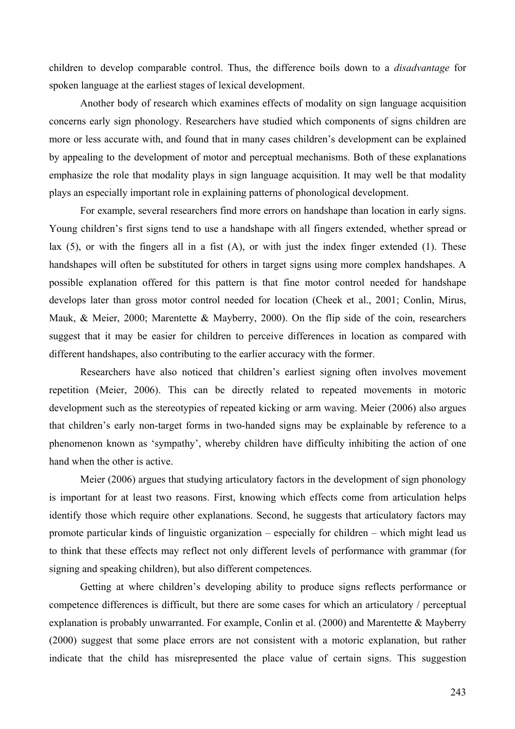children to develop comparable control. Thus, the difference boils down to a *disadvantage* for spoken language at the earliest stages of lexical development.

 Another body of research which examines effects of modality on sign language acquisition concerns early sign phonology. Researchers have studied which components of signs children are more or less accurate with, and found that in many cases children's development can be explained by appealing to the development of motor and perceptual mechanisms. Both of these explanations emphasize the role that modality plays in sign language acquisition. It may well be that modality plays an especially important role in explaining patterns of phonological development.

 For example, several researchers find more errors on handshape than location in early signs. Young children's first signs tend to use a handshape with all fingers extended, whether spread or lax (5), or with the fingers all in a fist (A), or with just the index finger extended (1). These handshapes will often be substituted for others in target signs using more complex handshapes. A possible explanation offered for this pattern is that fine motor control needed for handshape develops later than gross motor control needed for location (Cheek et al., 2001; Conlin, Mirus, Mauk, & Meier, 2000; Marentette & Mayberry, 2000). On the flip side of the coin, researchers suggest that it may be easier for children to perceive differences in location as compared with different handshapes, also contributing to the earlier accuracy with the former.

 Researchers have also noticed that children's earliest signing often involves movement repetition (Meier, 2006). This can be directly related to repeated movements in motoric development such as the stereotypies of repeated kicking or arm waving. Meier (2006) also argues that children's early non-target forms in two-handed signs may be explainable by reference to a phenomenon known as 'sympathy', whereby children have difficulty inhibiting the action of one hand when the other is active.

 Meier (2006) argues that studying articulatory factors in the development of sign phonology is important for at least two reasons. First, knowing which effects come from articulation helps identify those which require other explanations. Second, he suggests that articulatory factors may promote particular kinds of linguistic organization – especially for children – which might lead us to think that these effects may reflect not only different levels of performance with grammar (for signing and speaking children), but also different competences.

 Getting at where children's developing ability to produce signs reflects performance or competence differences is difficult, but there are some cases for which an articulatory / perceptual explanation is probably unwarranted. For example, Conlin et al. (2000) and Marentette & Mayberry (2000) suggest that some place errors are not consistent with a motoric explanation, but rather indicate that the child has misrepresented the place value of certain signs. This suggestion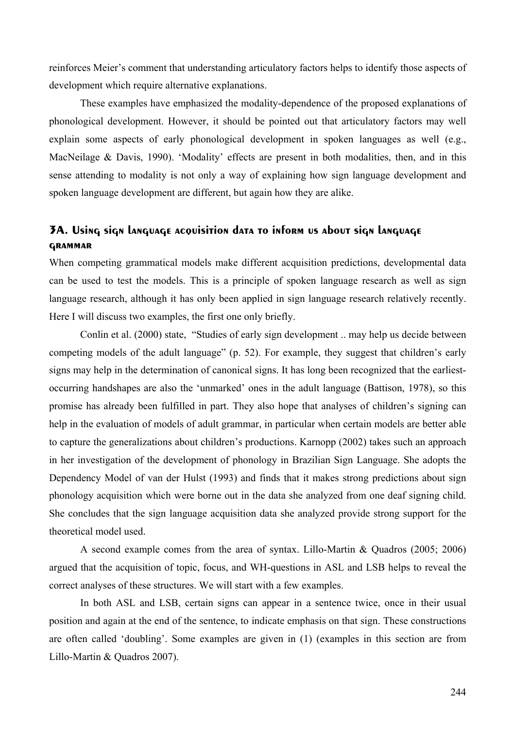reinforces Meier's comment that understanding articulatory factors helps to identify those aspects of development which require alternative explanations.

 These examples have emphasized the modality-dependence of the proposed explanations of phonological development. However, it should be pointed out that articulatory factors may well explain some aspects of early phonological development in spoken languages as well (e.g., MacNeilage & Davis, 1990). 'Modality' effects are present in both modalities, then, and in this sense attending to modality is not only a way of explaining how sign language development and spoken language development are different, but again how they are alike.

# **3A. Using sign language acquisition data to inform us about sign language grammar**

When competing grammatical models make different acquisition predictions, developmental data can be used to test the models. This is a principle of spoken language research as well as sign language research, although it has only been applied in sign language research relatively recently. Here I will discuss two examples, the first one only briefly.

 Conlin et al. (2000) state, "Studies of early sign development .. may help us decide between competing models of the adult language" (p. 52). For example, they suggest that children's early signs may help in the determination of canonical signs. It has long been recognized that the earliestoccurring handshapes are also the 'unmarked' ones in the adult language (Battison, 1978), so this promise has already been fulfilled in part. They also hope that analyses of children's signing can help in the evaluation of models of adult grammar, in particular when certain models are better able to capture the generalizations about children's productions. Karnopp (2002) takes such an approach in her investigation of the development of phonology in Brazilian Sign Language. She adopts the Dependency Model of van der Hulst (1993) and finds that it makes strong predictions about sign phonology acquisition which were borne out in the data she analyzed from one deaf signing child. She concludes that the sign language acquisition data she analyzed provide strong support for the theoretical model used.

 A second example comes from the area of syntax. Lillo-Martin & Quadros (2005; 2006) argued that the acquisition of topic, focus, and WH-questions in ASL and LSB helps to reveal the correct analyses of these structures. We will start with a few examples.

 In both ASL and LSB, certain signs can appear in a sentence twice, once in their usual position and again at the end of the sentence, to indicate emphasis on that sign. These constructions are often called 'doubling'. Some examples are given in (1) (examples in this section are from Lillo-Martin & Quadros 2007).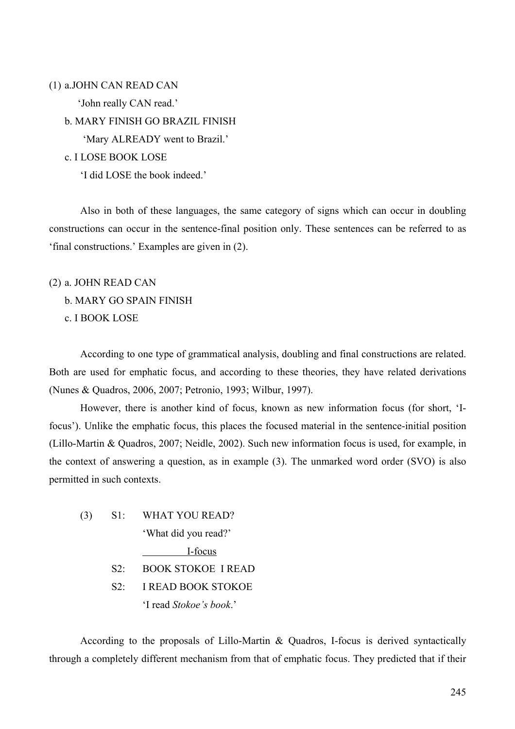(1) a.JOHN CAN READ CAN

'John really CAN read.'

# b. MARY FINISH GO BRAZIL FINISH

'Mary ALREADY went to Brazil.'

## c. I LOSE BOOK LOSE

'I did LOSE the book indeed.'

 Also in both of these languages, the same category of signs which can occur in doubling constructions can occur in the sentence-final position only. These sentences can be referred to as 'final constructions.' Examples are given in (2).

#### (2) a. JOHN READ CAN

- b. MARY GO SPAIN FINISH
- c. I BOOK LOSE

 According to one type of grammatical analysis, doubling and final constructions are related. Both are used for emphatic focus, and according to these theories, they have related derivations (Nunes & Quadros, 2006, 2007; Petronio, 1993; Wilbur, 1997).

 However, there is another kind of focus, known as new information focus (for short, 'Ifocus'). Unlike the emphatic focus, this places the focused material in the sentence-initial position (Lillo-Martin & Quadros, 2007; Neidle, 2002). Such new information focus is used, for example, in the context of answering a question, as in example (3). The unmarked word order (SVO) is also permitted in such contexts.

(3) S1: WHAT YOU READ? 'What did you read?'

I-focus

- S2: BOOK STOKOE I READ
- S2: I READ BOOK STOKOE 'I read *Stokoe's book*.'

 According to the proposals of Lillo-Martin & Quadros, I-focus is derived syntactically through a completely different mechanism from that of emphatic focus. They predicted that if their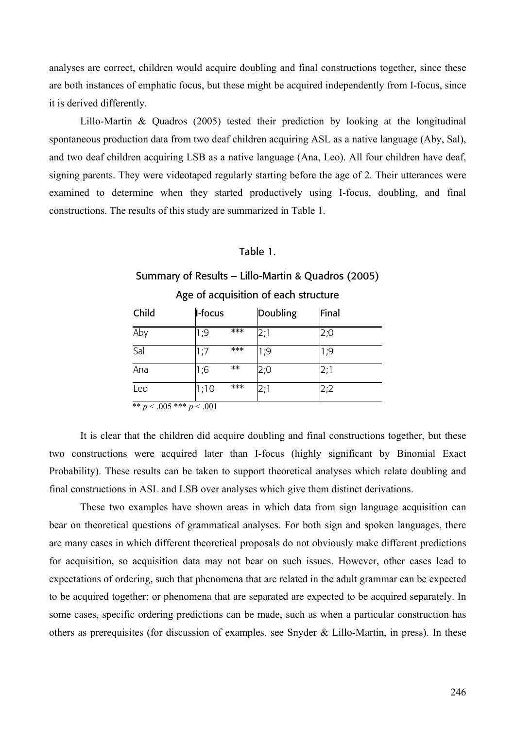analyses are correct, children would acquire doubling and final constructions together, since these are both instances of emphatic focus, but these might be acquired independently from I-focus, since it is derived differently.

 Lillo-Martin & Quadros (2005) tested their prediction by looking at the longitudinal spontaneous production data from two deaf children acquiring ASL as a native language (Aby, Sal), and two deaf children acquiring LSB as a native language (Ana, Leo). All four children have deaf, signing parents. They were videotaped regularly starting before the age of 2. Their utterances were examined to determine when they started productively using I-focus, doubling, and final constructions. The results of this study are summarized in Table 1.

#### Table 1.

Summary of Results – Lillo-Martin & Quadros (2005) Age of acquisition of each structure

| Child                    | I-focus |      | Doubling | Final |
|--------------------------|---------|------|----------|-------|
| Aby                      | 1;9     | ***  | 2;1      | 2;0   |
| Sal                      | 1;7     | ***  | 1;9      | 1;9   |
| Ana                      | 1;6     | $**$ | 2;0      | 2;1   |
| Leo                      | 1;10    | ***  | 2;1      | 2:2   |
| $** - 2005$ *** $- 2001$ |         |      |          |       |

 $p < .005$ \*\*\*  $p < .001$ 

 It is clear that the children did acquire doubling and final constructions together, but these two constructions were acquired later than I-focus (highly significant by Binomial Exact Probability). These results can be taken to support theoretical analyses which relate doubling and final constructions in ASL and LSB over analyses which give them distinct derivations.

 These two examples have shown areas in which data from sign language acquisition can bear on theoretical questions of grammatical analyses. For both sign and spoken languages, there are many cases in which different theoretical proposals do not obviously make different predictions for acquisition, so acquisition data may not bear on such issues. However, other cases lead to expectations of ordering, such that phenomena that are related in the adult grammar can be expected to be acquired together; or phenomena that are separated are expected to be acquired separately. In some cases, specific ordering predictions can be made, such as when a particular construction has others as prerequisites (for discussion of examples, see Snyder & Lillo-Martin, in press). In these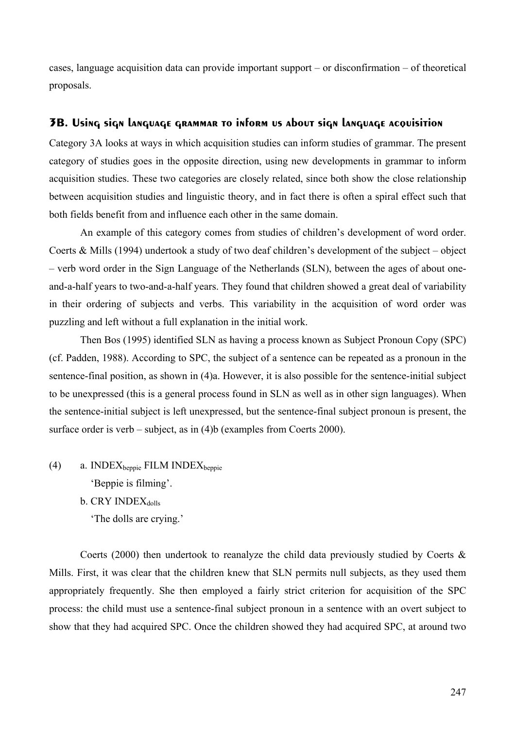cases, language acquisition data can provide important support – or disconfirmation – of theoretical proposals.

#### **3B. Using sign language grammar to inform us about sign language acquisition**

Category 3A looks at ways in which acquisition studies can inform studies of grammar. The present category of studies goes in the opposite direction, using new developments in grammar to inform acquisition studies. These two categories are closely related, since both show the close relationship between acquisition studies and linguistic theory, and in fact there is often a spiral effect such that both fields benefit from and influence each other in the same domain.

 An example of this category comes from studies of children's development of word order. Coerts & Mills (1994) undertook a study of two deaf children's development of the subject – object – verb word order in the Sign Language of the Netherlands (SLN), between the ages of about oneand-a-half years to two-and-a-half years. They found that children showed a great deal of variability in their ordering of subjects and verbs. This variability in the acquisition of word order was puzzling and left without a full explanation in the initial work.

 Then Bos (1995) identified SLN as having a process known as Subject Pronoun Copy (SPC) (cf. Padden, 1988). According to SPC, the subject of a sentence can be repeated as a pronoun in the sentence-final position, as shown in (4)a. However, it is also possible for the sentence-initial subject to be unexpressed (this is a general process found in SLN as well as in other sign languages). When the sentence-initial subject is left unexpressed, but the sentence-final subject pronoun is present, the surface order is verb – subject, as in (4)b (examples from Coerts 2000).

(4) a. INDEX<sub>beppie</sub> FILM INDEX<sub>beppie</sub> 'Beppie is filming'.  $b.$  CRY INDEX $_{\text{dolls}}$ 'The dolls are crying.'

Coerts (2000) then undertook to reanalyze the child data previously studied by Coerts  $\&$ Mills. First, it was clear that the children knew that SLN permits null subjects, as they used them appropriately frequently. She then employed a fairly strict criterion for acquisition of the SPC process: the child must use a sentence-final subject pronoun in a sentence with an overt subject to show that they had acquired SPC. Once the children showed they had acquired SPC, at around two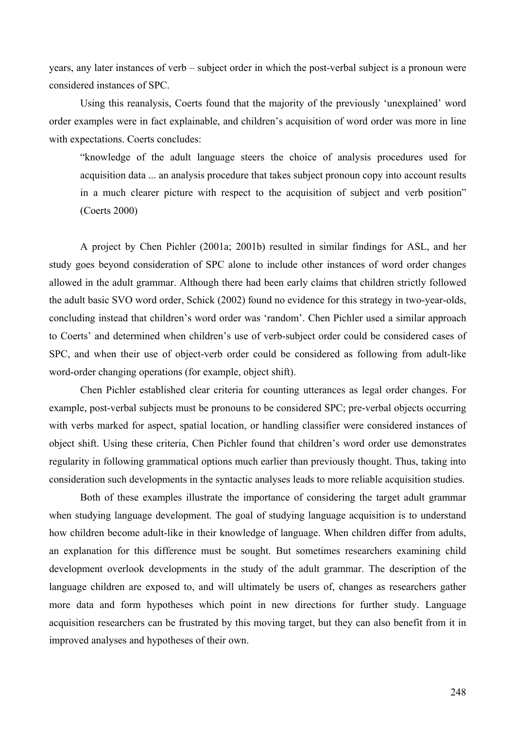years, any later instances of verb – subject order in which the post-verbal subject is a pronoun were considered instances of SPC.

 Using this reanalysis, Coerts found that the majority of the previously 'unexplained' word order examples were in fact explainable, and children's acquisition of word order was more in line with expectations. Coerts concludes:

"knowledge of the adult language steers the choice of analysis procedures used for acquisition data ... an analysis procedure that takes subject pronoun copy into account results in a much clearer picture with respect to the acquisition of subject and verb position" (Coerts 2000)

 A project by Chen Pichler (2001a; 2001b) resulted in similar findings for ASL, and her study goes beyond consideration of SPC alone to include other instances of word order changes allowed in the adult grammar. Although there had been early claims that children strictly followed the adult basic SVO word order, Schick (2002) found no evidence for this strategy in two-year-olds, concluding instead that children's word order was 'random'. Chen Pichler used a similar approach to Coerts' and determined when children's use of verb-subject order could be considered cases of SPC, and when their use of object-verb order could be considered as following from adult-like word-order changing operations (for example, object shift).

 Chen Pichler established clear criteria for counting utterances as legal order changes. For example, post-verbal subjects must be pronouns to be considered SPC; pre-verbal objects occurring with verbs marked for aspect, spatial location, or handling classifier were considered instances of object shift. Using these criteria, Chen Pichler found that children's word order use demonstrates regularity in following grammatical options much earlier than previously thought. Thus, taking into consideration such developments in the syntactic analyses leads to more reliable acquisition studies.

 Both of these examples illustrate the importance of considering the target adult grammar when studying language development. The goal of studying language acquisition is to understand how children become adult-like in their knowledge of language. When children differ from adults, an explanation for this difference must be sought. But sometimes researchers examining child development overlook developments in the study of the adult grammar. The description of the language children are exposed to, and will ultimately be users of, changes as researchers gather more data and form hypotheses which point in new directions for further study. Language acquisition researchers can be frustrated by this moving target, but they can also benefit from it in improved analyses and hypotheses of their own.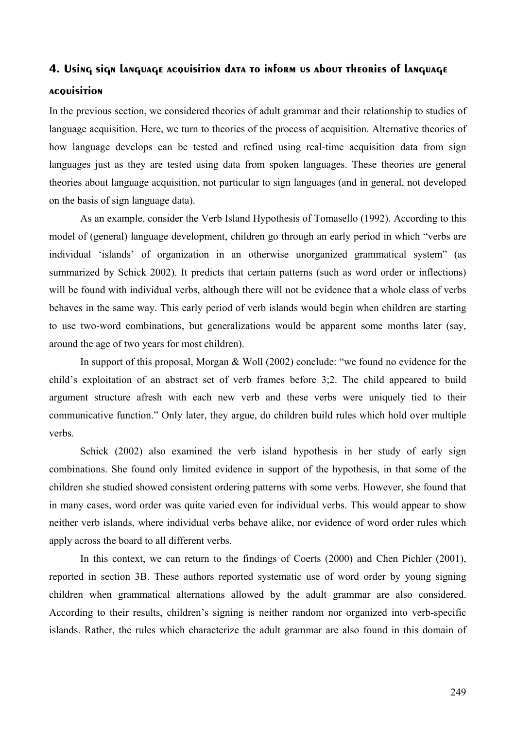# **4. Using sign language acquisition data to inform us about theories of language**

## **acquisition**

In the previous section, we considered theories of adult grammar and their relationship to studies of language acquisition. Here, we turn to theories of the process of acquisition. Alternative theories of how language develops can be tested and refined using real-time acquisition data from sign languages just as they are tested using data from spoken languages. These theories are general theories about language acquisition, not particular to sign languages (and in general, not developed on the basis of sign language data).

 As an example, consider the Verb Island Hypothesis of Tomasello (1992). According to this model of (general) language development, children go through an early period in which "verbs are individual 'islands' of organization in an otherwise unorganized grammatical system" (as summarized by Schick 2002). It predicts that certain patterns (such as word order or inflections) will be found with individual verbs, although there will not be evidence that a whole class of verbs behaves in the same way. This early period of verb islands would begin when children are starting to use two-word combinations, but generalizations would be apparent some months later (say, around the age of two years for most children).

 In support of this proposal, Morgan & Woll (2002) conclude: "we found no evidence for the child's exploitation of an abstract set of verb frames before 3;2. The child appeared to build argument structure afresh with each new verb and these verbs were uniquely tied to their communicative function." Only later, they argue, do children build rules which hold over multiple verbs.

Schick (2002) also examined the verb island hypothesis in her study of early sign combinations. She found only limited evidence in support of the hypothesis, in that some of the children she studied showed consistent ordering patterns with some verbs. However, she found that in many cases, word order was quite varied even for individual verbs. This would appear to show neither verb islands, where individual verbs behave alike, nor evidence of word order rules which apply across the board to all different verbs.

 In this context, we can return to the findings of Coerts (2000) and Chen Pichler (2001), reported in section 3B. These authors reported systematic use of word order by young signing children when grammatical alternations allowed by the adult grammar are also considered. According to their results, children's signing is neither random nor organized into verb-specific islands. Rather, the rules which characterize the adult grammar are also found in this domain of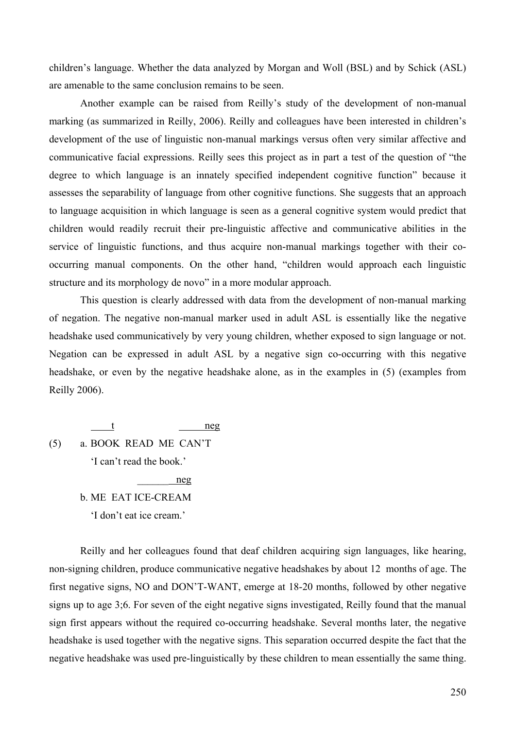children's language. Whether the data analyzed by Morgan and Woll (BSL) and by Schick (ASL) are amenable to the same conclusion remains to be seen.

 Another example can be raised from Reilly's study of the development of non-manual marking (as summarized in Reilly, 2006). Reilly and colleagues have been interested in children's development of the use of linguistic non-manual markings versus often very similar affective and communicative facial expressions. Reilly sees this project as in part a test of the question of "the degree to which language is an innately specified independent cognitive function" because it assesses the separability of language from other cognitive functions. She suggests that an approach to language acquisition in which language is seen as a general cognitive system would predict that children would readily recruit their pre-linguistic affective and communicative abilities in the service of linguistic functions, and thus acquire non-manual markings together with their cooccurring manual components. On the other hand, "children would approach each linguistic structure and its morphology de novo" in a more modular approach.

 This question is clearly addressed with data from the development of non-manual marking of negation. The negative non-manual marker used in adult ASL is essentially like the negative headshake used communicatively by very young children, whether exposed to sign language or not. Negation can be expressed in adult ASL by a negative sign co-occurring with this negative headshake, or even by the negative headshake alone, as in the examples in (5) (examples from Reilly 2006).

t neg (5) a. BOOK READ ME CAN'T 'I can't read the book.'

 $\frac{\log n}{n}$ 

b. ME EAT ICE-CREAM

'I don't eat ice cream.'

 Reilly and her colleagues found that deaf children acquiring sign languages, like hearing, non-signing children, produce communicative negative headshakes by about 12 months of age. The first negative signs, NO and DON'T-WANT, emerge at 18-20 months, followed by other negative signs up to age 3;6. For seven of the eight negative signs investigated, Reilly found that the manual sign first appears without the required co-occurring headshake. Several months later, the negative headshake is used together with the negative signs. This separation occurred despite the fact that the negative headshake was used pre-linguistically by these children to mean essentially the same thing.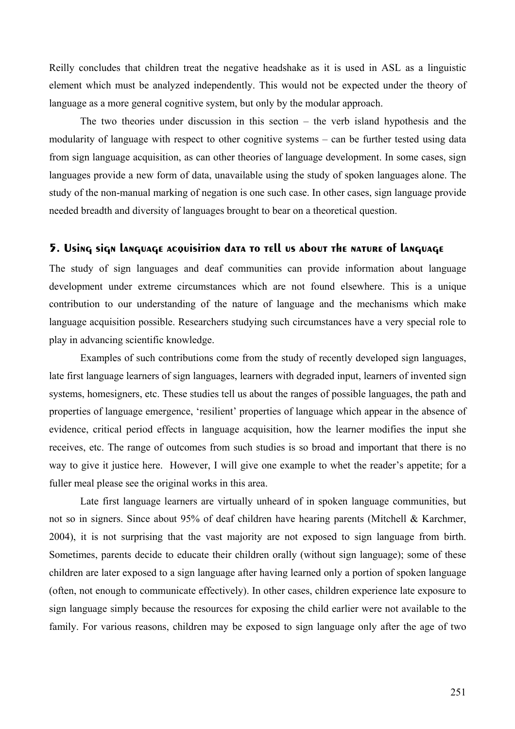Reilly concludes that children treat the negative headshake as it is used in ASL as a linguistic element which must be analyzed independently. This would not be expected under the theory of language as a more general cognitive system, but only by the modular approach.

 The two theories under discussion in this section – the verb island hypothesis and the modularity of language with respect to other cognitive systems – can be further tested using data from sign language acquisition, as can other theories of language development. In some cases, sign languages provide a new form of data, unavailable using the study of spoken languages alone. The study of the non-manual marking of negation is one such case. In other cases, sign language provide needed breadth and diversity of languages brought to bear on a theoretical question.

#### **5. Using sign language acquisition data to tell us about the nature of language**

The study of sign languages and deaf communities can provide information about language development under extreme circumstances which are not found elsewhere. This is a unique contribution to our understanding of the nature of language and the mechanisms which make language acquisition possible. Researchers studying such circumstances have a very special role to play in advancing scientific knowledge.

 Examples of such contributions come from the study of recently developed sign languages, late first language learners of sign languages, learners with degraded input, learners of invented sign systems, homesigners, etc. These studies tell us about the ranges of possible languages, the path and properties of language emergence, 'resilient' properties of language which appear in the absence of evidence, critical period effects in language acquisition, how the learner modifies the input she receives, etc. The range of outcomes from such studies is so broad and important that there is no way to give it justice here. However, I will give one example to whet the reader's appetite; for a fuller meal please see the original works in this area.

 Late first language learners are virtually unheard of in spoken language communities, but not so in signers. Since about 95% of deaf children have hearing parents (Mitchell & Karchmer, 2004), it is not surprising that the vast majority are not exposed to sign language from birth. Sometimes, parents decide to educate their children orally (without sign language); some of these children are later exposed to a sign language after having learned only a portion of spoken language (often, not enough to communicate effectively). In other cases, children experience late exposure to sign language simply because the resources for exposing the child earlier were not available to the family. For various reasons, children may be exposed to sign language only after the age of two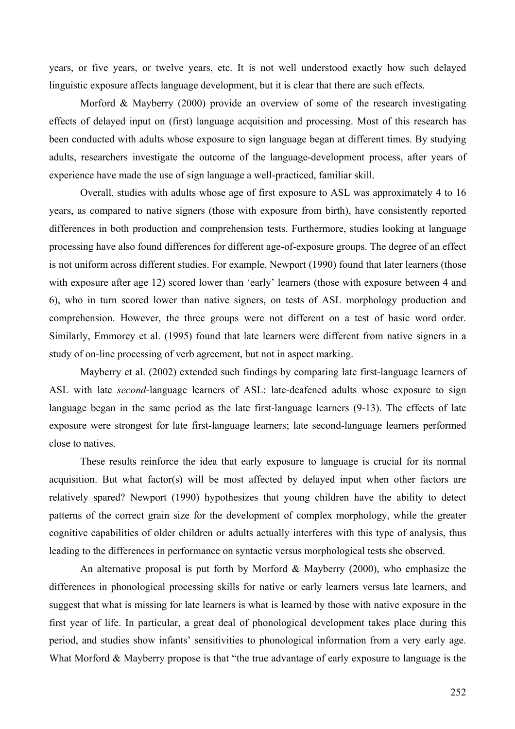years, or five years, or twelve years, etc. It is not well understood exactly how such delayed linguistic exposure affects language development, but it is clear that there are such effects.

 Morford & Mayberry (2000) provide an overview of some of the research investigating effects of delayed input on (first) language acquisition and processing. Most of this research has been conducted with adults whose exposure to sign language began at different times. By studying adults, researchers investigate the outcome of the language-development process, after years of experience have made the use of sign language a well-practiced, familiar skill.

 Overall, studies with adults whose age of first exposure to ASL was approximately 4 to 16 years, as compared to native signers (those with exposure from birth), have consistently reported differences in both production and comprehension tests. Furthermore, studies looking at language processing have also found differences for different age-of-exposure groups. The degree of an effect is not uniform across different studies. For example, Newport (1990) found that later learners (those with exposure after age 12) scored lower than 'early' learners (those with exposure between 4 and 6), who in turn scored lower than native signers, on tests of ASL morphology production and comprehension. However, the three groups were not different on a test of basic word order. Similarly, Emmorey et al. (1995) found that late learners were different from native signers in a study of on-line processing of verb agreement, but not in aspect marking.

 Mayberry et al. (2002) extended such findings by comparing late first-language learners of ASL with late *second*-language learners of ASL: late-deafened adults whose exposure to sign language began in the same period as the late first-language learners (9-13). The effects of late exposure were strongest for late first-language learners; late second-language learners performed close to natives.

 These results reinforce the idea that early exposure to language is crucial for its normal acquisition. But what factor(s) will be most affected by delayed input when other factors are relatively spared? Newport (1990) hypothesizes that young children have the ability to detect patterns of the correct grain size for the development of complex morphology, while the greater cognitive capabilities of older children or adults actually interferes with this type of analysis, thus leading to the differences in performance on syntactic versus morphological tests she observed.

 An alternative proposal is put forth by Morford & Mayberry (2000), who emphasize the differences in phonological processing skills for native or early learners versus late learners, and suggest that what is missing for late learners is what is learned by those with native exposure in the first year of life. In particular, a great deal of phonological development takes place during this period, and studies show infants' sensitivities to phonological information from a very early age. What Morford & Mayberry propose is that "the true advantage of early exposure to language is the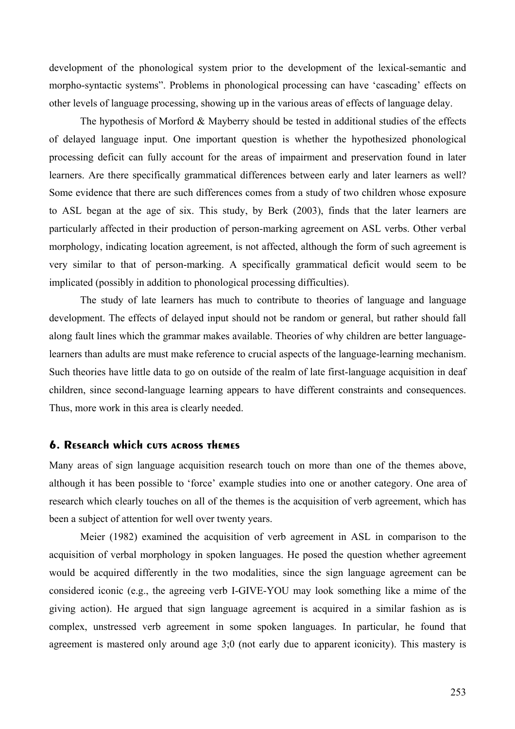development of the phonological system prior to the development of the lexical-semantic and morpho-syntactic systems". Problems in phonological processing can have 'cascading' effects on other levels of language processing, showing up in the various areas of effects of language delay.

The hypothesis of Morford & Mayberry should be tested in additional studies of the effects of delayed language input. One important question is whether the hypothesized phonological processing deficit can fully account for the areas of impairment and preservation found in later learners. Are there specifically grammatical differences between early and later learners as well? Some evidence that there are such differences comes from a study of two children whose exposure to ASL began at the age of six. This study, by Berk (2003), finds that the later learners are particularly affected in their production of person-marking agreement on ASL verbs. Other verbal morphology, indicating location agreement, is not affected, although the form of such agreement is very similar to that of person-marking. A specifically grammatical deficit would seem to be implicated (possibly in addition to phonological processing difficulties).

 The study of late learners has much to contribute to theories of language and language development. The effects of delayed input should not be random or general, but rather should fall along fault lines which the grammar makes available. Theories of why children are better languagelearners than adults are must make reference to crucial aspects of the language-learning mechanism. Such theories have little data to go on outside of the realm of late first-language acquisition in deaf children, since second-language learning appears to have different constraints and consequences. Thus, more work in this area is clearly needed.

#### **6. Research which cuts across themes**

Many areas of sign language acquisition research touch on more than one of the themes above, although it has been possible to 'force' example studies into one or another category. One area of research which clearly touches on all of the themes is the acquisition of verb agreement, which has been a subject of attention for well over twenty years.

 Meier (1982) examined the acquisition of verb agreement in ASL in comparison to the acquisition of verbal morphology in spoken languages. He posed the question whether agreement would be acquired differently in the two modalities, since the sign language agreement can be considered iconic (e.g., the agreeing verb I-GIVE-YOU may look something like a mime of the giving action). He argued that sign language agreement is acquired in a similar fashion as is complex, unstressed verb agreement in some spoken languages. In particular, he found that agreement is mastered only around age 3;0 (not early due to apparent iconicity). This mastery is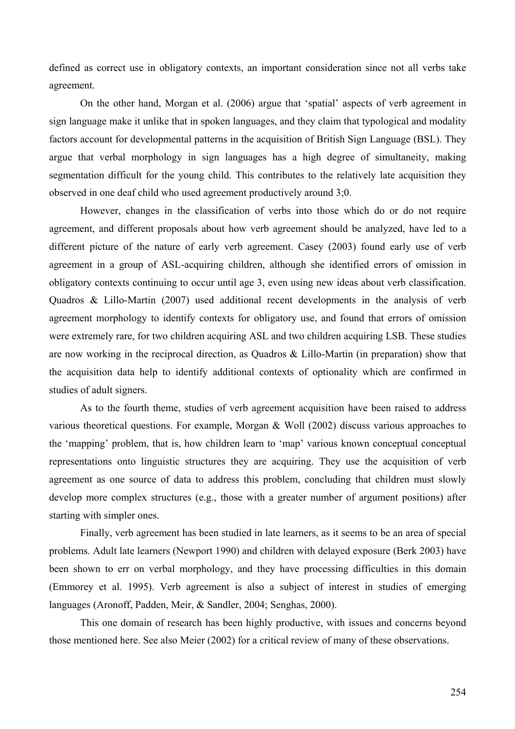defined as correct use in obligatory contexts, an important consideration since not all verbs take agreement.

 On the other hand, Morgan et al. (2006) argue that 'spatial' aspects of verb agreement in sign language make it unlike that in spoken languages, and they claim that typological and modality factors account for developmental patterns in the acquisition of British Sign Language (BSL). They argue that verbal morphology in sign languages has a high degree of simultaneity, making segmentation difficult for the young child. This contributes to the relatively late acquisition they observed in one deaf child who used agreement productively around 3;0.

 However, changes in the classification of verbs into those which do or do not require agreement, and different proposals about how verb agreement should be analyzed, have led to a different picture of the nature of early verb agreement. Casey (2003) found early use of verb agreement in a group of ASL-acquiring children, although she identified errors of omission in obligatory contexts continuing to occur until age 3, even using new ideas about verb classification. Quadros & Lillo-Martin (2007) used additional recent developments in the analysis of verb agreement morphology to identify contexts for obligatory use, and found that errors of omission were extremely rare, for two children acquiring ASL and two children acquiring LSB. These studies are now working in the reciprocal direction, as Quadros & Lillo-Martin (in preparation) show that the acquisition data help to identify additional contexts of optionality which are confirmed in studies of adult signers.

 As to the fourth theme, studies of verb agreement acquisition have been raised to address various theoretical questions. For example, Morgan & Woll (2002) discuss various approaches to the 'mapping' problem, that is, how children learn to 'map' various known conceptual conceptual representations onto linguistic structures they are acquiring. They use the acquisition of verb agreement as one source of data to address this problem, concluding that children must slowly develop more complex structures (e.g., those with a greater number of argument positions) after starting with simpler ones.

 Finally, verb agreement has been studied in late learners, as it seems to be an area of special problems. Adult late learners (Newport 1990) and children with delayed exposure (Berk 2003) have been shown to err on verbal morphology, and they have processing difficulties in this domain (Emmorey et al. 1995). Verb agreement is also a subject of interest in studies of emerging languages (Aronoff, Padden, Meir, & Sandler, 2004; Senghas, 2000).

 This one domain of research has been highly productive, with issues and concerns beyond those mentioned here. See also Meier (2002) for a critical review of many of these observations.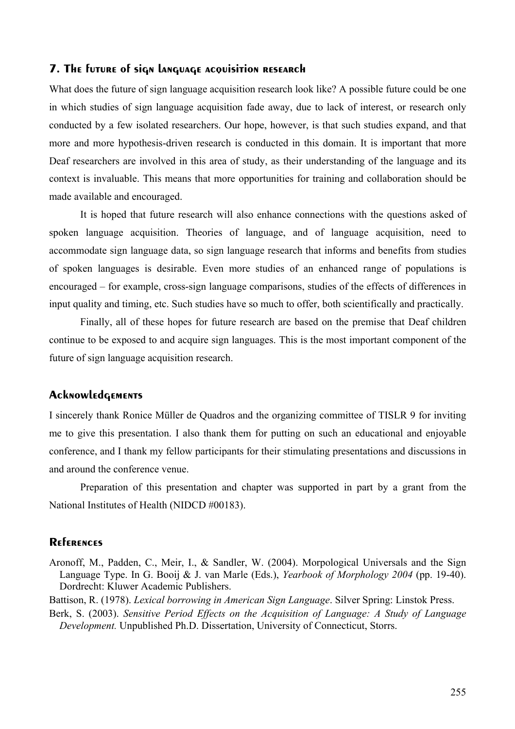#### **7. The future of sign language acquisition research**

What does the future of sign language acquisition research look like? A possible future could be one in which studies of sign language acquisition fade away, due to lack of interest, or research only conducted by a few isolated researchers. Our hope, however, is that such studies expand, and that more and more hypothesis-driven research is conducted in this domain. It is important that more Deaf researchers are involved in this area of study, as their understanding of the language and its context is invaluable. This means that more opportunities for training and collaboration should be made available and encouraged.

 It is hoped that future research will also enhance connections with the questions asked of spoken language acquisition. Theories of language, and of language acquisition, need to accommodate sign language data, so sign language research that informs and benefits from studies of spoken languages is desirable. Even more studies of an enhanced range of populations is encouraged – for example, cross-sign language comparisons, studies of the effects of differences in input quality and timing, etc. Such studies have so much to offer, both scientifically and practically.

 Finally, all of these hopes for future research are based on the premise that Deaf children continue to be exposed to and acquire sign languages. This is the most important component of the future of sign language acquisition research.

#### **Acknowledgements**

I sincerely thank Ronice Müller de Quadros and the organizing committee of TISLR 9 for inviting me to give this presentation. I also thank them for putting on such an educational and enjoyable conference, and I thank my fellow participants for their stimulating presentations and discussions in and around the conference venue.

 Preparation of this presentation and chapter was supported in part by a grant from the National Institutes of Health (NIDCD #00183).

#### **References**

- Aronoff, M., Padden, C., Meir, I., & Sandler, W. (2004). Morpological Universals and the Sign Language Type. In G. Booij & J. van Marle (Eds.), *Yearbook of Morphology 2004* (pp. 19-40). Dordrecht: Kluwer Academic Publishers.
- Battison, R. (1978). *Lexical borrowing in American Sign Language*. Silver Spring: Linstok Press.
- Berk, S. (2003). *Sensitive Period Effects on the Acquisition of Language: A Study of Language Development.* Unpublished Ph.D. Dissertation, University of Connecticut, Storrs.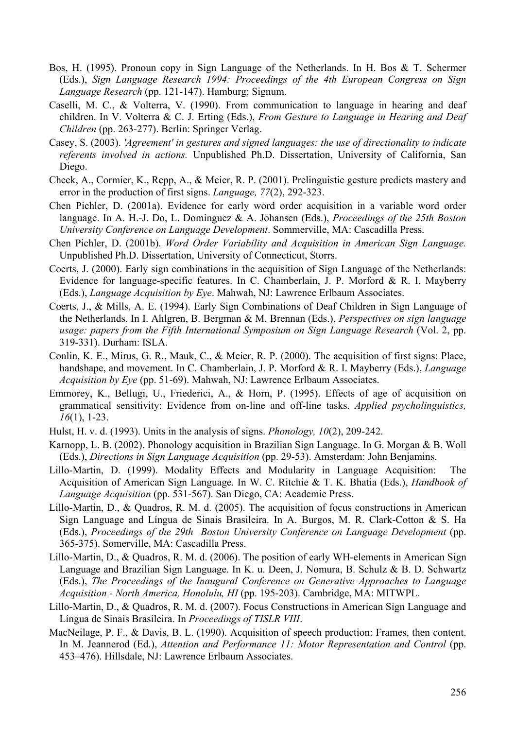- Bos, H. (1995). Pronoun copy in Sign Language of the Netherlands. In H. Bos & T. Schermer (Eds.), *Sign Language Research 1994: Proceedings of the 4th European Congress on Sign Language Research* (pp. 121-147). Hamburg: Signum.
- Caselli, M. C., & Volterra, V. (1990). From communication to language in hearing and deaf children. In V. Volterra & C. J. Erting (Eds.), *From Gesture to Language in Hearing and Deaf Children* (pp. 263-277). Berlin: Springer Verlag.
- Casey, S. (2003). *'Agreement' in gestures and signed languages: the use of directionality to indicate referents involved in actions.* Unpublished Ph.D. Dissertation, University of California, San Diego.
- Cheek, A., Cormier, K., Repp, A., & Meier, R. P. (2001). Prelinguistic gesture predicts mastery and error in the production of first signs. *Language, 77*(2), 292-323.
- Chen Pichler, D. (2001a). Evidence for early word order acquisition in a variable word order language. In A. H.-J. Do, L. Dominguez & A. Johansen (Eds.), *Proceedings of the 25th Boston University Conference on Language Development*. Sommerville, MA: Cascadilla Press.
- Chen Pichler, D. (2001b). *Word Order Variability and Acquisition in American Sign Language.* Unpublished Ph.D. Dissertation, University of Connecticut, Storrs.
- Coerts, J. (2000). Early sign combinations in the acquisition of Sign Language of the Netherlands: Evidence for language-specific features. In C. Chamberlain, J. P. Morford & R. I. Mayberry (Eds.), *Language Acquisition by Eye*. Mahwah, NJ: Lawrence Erlbaum Associates.
- Coerts, J., & Mills, A. E. (1994). Early Sign Combinations of Deaf Children in Sign Language of the Netherlands. In I. Ahlgren, B. Bergman & M. Brennan (Eds.), *Perspectives on sign language usage: papers from the Fifth International Symposium on Sign Language Research* (Vol. 2, pp. 319-331). Durham: ISLA.
- Conlin, K. E., Mirus, G. R., Mauk, C., & Meier, R. P. (2000). The acquisition of first signs: Place, handshape, and movement. In C. Chamberlain, J. P. Morford & R. I. Mayberry (Eds.), *Language Acquisition by Eye* (pp. 51-69). Mahwah, NJ: Lawrence Erlbaum Associates.
- Emmorey, K., Bellugi, U., Friederici, A., & Horn, P. (1995). Effects of age of acquisition on grammatical sensitivity: Evidence from on-line and off-line tasks. *Applied psycholinguistics, 16*(1), 1-23.
- Hulst, H. v. d. (1993). Units in the analysis of signs. *Phonology, 10*(2), 209-242.
- Karnopp, L. B. (2002). Phonology acquisition in Brazilian Sign Language. In G. Morgan & B. Woll (Eds.), *Directions in Sign Language Acquisition* (pp. 29-53). Amsterdam: John Benjamins.
- Lillo-Martin, D. (1999). Modality Effects and Modularity in Language Acquisition: The Acquisition of American Sign Language. In W. C. Ritchie & T. K. Bhatia (Eds.), *Handbook of Language Acquisition* (pp. 531-567). San Diego, CA: Academic Press.
- Lillo-Martin, D., & Quadros, R. M. d. (2005). The acquisition of focus constructions in American Sign Language and Língua de Sinais Brasileira. In A. Burgos, M. R. Clark-Cotton & S. Ha (Eds.), *Proceedings of the 29th Boston University Conference on Language Development* (pp. 365-375). Somerville, MA: Cascadilla Press.
- Lillo-Martin, D., & Quadros, R. M. d. (2006). The position of early WH-elements in American Sign Language and Brazilian Sign Language. In K. u. Deen, J. Nomura, B. Schulz & B. D. Schwartz (Eds.), *The Proceedings of the Inaugural Conference on Generative Approaches to Language Acquisition - North America, Honolulu, HI* (pp. 195-203). Cambridge, MA: MITWPL.
- Lillo-Martin, D., & Quadros, R. M. d. (2007). Focus Constructions in American Sign Language and Língua de Sinais Brasileira. In *Proceedings of TISLR VIII*.
- MacNeilage, P. F., & Davis, B. L. (1990). Acquisition of speech production: Frames, then content. In M. Jeannerod (Ed.), *Attention and Performance 11: Motor Representation and Control* (pp. 453–476). Hillsdale, NJ: Lawrence Erlbaum Associates.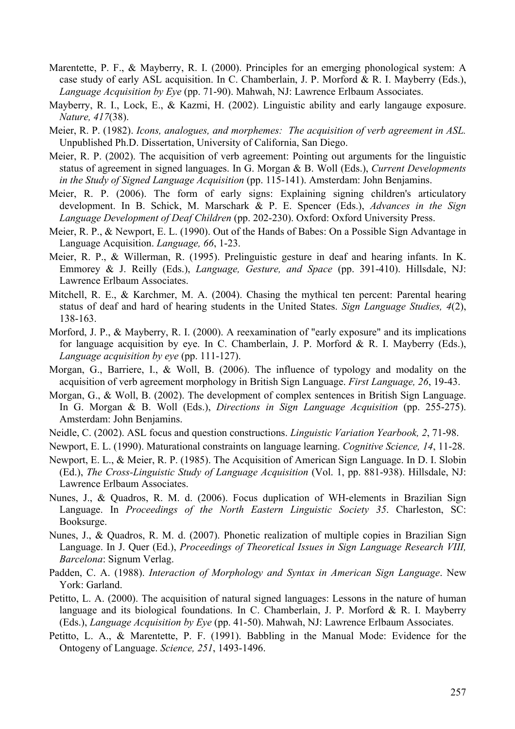- Marentette, P. F., & Mayberry, R. I. (2000). Principles for an emerging phonological system: A case study of early ASL acquisition. In C. Chamberlain, J. P. Morford & R. I. Mayberry (Eds.), *Language Acquisition by Eye* (pp. 71-90). Mahwah, NJ: Lawrence Erlbaum Associates.
- Mayberry, R. I., Lock, E., & Kazmi, H. (2002). Linguistic ability and early langauge exposure. *Nature, 417*(38).
- Meier, R. P. (1982). *Icons, analogues, and morphemes: The acquisition of verb agreement in ASL.* Unpublished Ph.D. Dissertation, University of California, San Diego.
- Meier, R. P. (2002). The acquisition of verb agreement: Pointing out arguments for the linguistic status of agreement in signed languages. In G. Morgan & B. Woll (Eds.), *Current Developments in the Study of Signed Language Acquisition* (pp. 115-141). Amsterdam: John Benjamins.
- Meier, R. P. (2006). The form of early signs: Explaining signing children's articulatory development. In B. Schick, M. Marschark & P. E. Spencer (Eds.), *Advances in the Sign Language Development of Deaf Children* (pp. 202-230). Oxford: Oxford University Press.
- Meier, R. P., & Newport, E. L. (1990). Out of the Hands of Babes: On a Possible Sign Advantage in Language Acquisition. *Language, 66*, 1-23.
- Meier, R. P., & Willerman, R. (1995). Prelinguistic gesture in deaf and hearing infants. In K. Emmorey & J. Reilly (Eds.), *Language, Gesture, and Space* (pp. 391-410). Hillsdale, NJ: Lawrence Erlbaum Associates.
- Mitchell, R. E., & Karchmer, M. A. (2004). Chasing the mythical ten percent: Parental hearing status of deaf and hard of hearing students in the United States. *Sign Language Studies, 4*(2), 138-163.
- Morford, J. P., & Mayberry, R. I. (2000). A reexamination of "early exposure" and its implications for language acquisition by eye. In C. Chamberlain, J. P. Morford  $\& R$ . I. Mayberry (Eds.), *Language acquisition by eye* (pp. 111-127).
- Morgan, G., Barriere, I., & Woll, B. (2006). The influence of typology and modality on the acquisition of verb agreement morphology in British Sign Language. *First Language, 26*, 19-43.
- Morgan, G., & Woll, B. (2002). The development of complex sentences in British Sign Language. In G. Morgan & B. Woll (Eds.), *Directions in Sign Language Acquisition* (pp. 255-275). Amsterdam: John Benjamins.
- Neidle, C. (2002). ASL focus and question constructions. *Linguistic Variation Yearbook, 2*, 71-98.
- Newport, E. L. (1990). Maturational constraints on language learning. *Cognitive Science, 14*, 11-28.
- Newport, E. L., & Meier, R. P. (1985). The Acquisition of American Sign Language. In D. I. Slobin (Ed.), *The Cross-Linguistic Study of Language Acquisition* (Vol. 1, pp. 881-938). Hillsdale, NJ: Lawrence Erlbaum Associates.
- Nunes, J., & Quadros, R. M. d. (2006). Focus duplication of WH-elements in Brazilian Sign Language. In *Proceedings of the North Eastern Linguistic Society 35*. Charleston, SC: Booksurge.
- Nunes, J., & Quadros, R. M. d. (2007). Phonetic realization of multiple copies in Brazilian Sign Language. In J. Quer (Ed.), *Proceedings of Theoretical Issues in Sign Language Research VIII, Barcelona*: Signum Verlag.
- Padden, C. A. (1988). *Interaction of Morphology and Syntax in American Sign Language*. New York: Garland.
- Petitto, L. A. (2000). The acquisition of natural signed languages: Lessons in the nature of human language and its biological foundations. In C. Chamberlain, J. P. Morford  $\& R$ . I. Mayberry (Eds.), *Language Acquisition by Eye* (pp. 41-50). Mahwah, NJ: Lawrence Erlbaum Associates.
- Petitto, L. A., & Marentette, P. F. (1991). Babbling in the Manual Mode: Evidence for the Ontogeny of Language. *Science, 251*, 1493-1496.